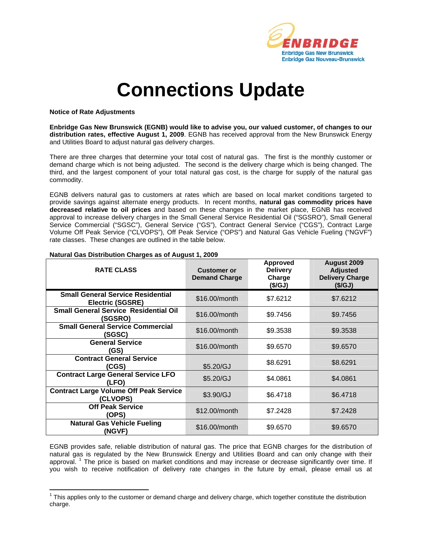

## **Connections Update**

## **Notice of Rate Adjustments**

 $\overline{a}$ 

**Enbridge Gas New Brunswick (EGNB) would like to advise you, our valued customer, of changes to our distribution rates, effective August 1, 2009**. EGNB has received approval from the New Brunswick Energy and Utilities Board to adjust natural gas delivery charges.

There are three charges that determine your total cost of natural gas. The first is the monthly customer or demand charge which is not being adjusted. The second is the delivery charge which is being changed. The third, and the largest component of your total natural gas cost, is the charge for supply of the natural gas commodity.

EGNB delivers natural gas to customers at rates which are based on local market conditions targeted to provide savings against alternate energy products. In recent months, **natural gas commodity prices have decreased relative to oil prices** and based on these changes in the market place, EGNB has received approval to increase delivery charges in the Small General Service Residential Oil ("SGSRO"), Small General Service Commercial ("SGSC"), General Service ("GS"), Contract General Service ("CGS"), Contract Large Volume Off Peak Service ("CLVOPS"), Off Peak Service ("OPS") and Natural Gas Vehicle Fueling ("NGVF") rate classes. These changes are outlined in the table below.

| <b>RATE CLASS</b>                                                   | <b>Customer or</b><br><b>Demand Charge</b> | Approved<br><b>Delivery</b><br>Charge<br>(\$/GJ) | August 2009<br><b>Adjusted</b><br><b>Delivery Charge</b><br>(\$/GJ) |
|---------------------------------------------------------------------|--------------------------------------------|--------------------------------------------------|---------------------------------------------------------------------|
| <b>Small General Service Residential</b><br><b>Electric (SGSRE)</b> | \$16.00/month                              | \$7.6212                                         | \$7.6212                                                            |
| <b>Small General Service Residential Oil</b><br>(SGSRO)             | \$16,00/month                              | \$9.7456                                         | \$9.7456                                                            |
| <b>Small General Service Commercial</b><br>(SGSC)                   | \$16.00/month                              | \$9.3538                                         | \$9.3538                                                            |
| <b>General Service</b><br>(GS)                                      | \$16,00/month                              | \$9.6570                                         | \$9,6570                                                            |
| <b>Contract General Service</b><br>(CGS)                            | \$5.20/GJ                                  | \$8.6291                                         | \$8.6291                                                            |
| <b>Contract Large General Service LFO</b><br>(LFO)                  | \$5.20/GJ                                  | \$4.0861                                         | \$4.0861                                                            |
| <b>Contract Large Volume Off Peak Service</b><br><b>CLVOPS)</b>     | \$3.90/GJ                                  | \$6.4718                                         | \$6.4718                                                            |
| <b>Off Peak Service</b><br>(OPS)                                    | \$12.00/month                              | \$7.2428                                         | \$7.2428                                                            |
| <b>Natural Gas Vehicle Fueling</b><br>(NGVF)                        | \$16.00/month                              | \$9.6570                                         | \$9.6570                                                            |

## **Natural Gas Distribution Charges as of August 1, 2009**

EGNB provides safe, reliable distribution of natural gas. The price that EGNB charges for the distribution of natural gas is regulated by the New Brunswick Energy and Utilities Board and can only change with their approval.<sup>1</sup> The price is based on market conditions and may increase or decrease significantly over time. If you wish to receive notification of delivery rate changes in the future by email, please email us at

 $1$  This applies only to the customer or demand charge and delivery charge, which together constitute the distribution charge.